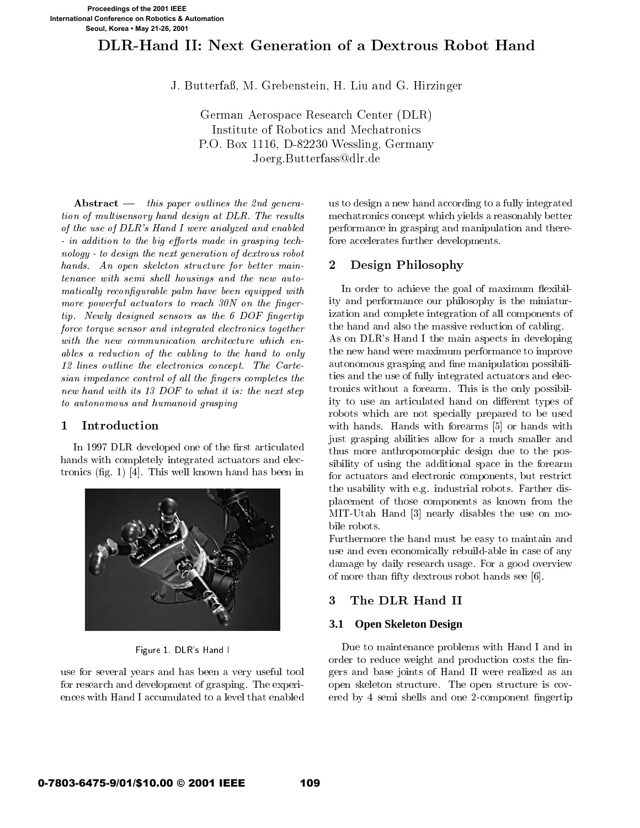# DLR-Hand II: Next Generation of <sup>a</sup> Dextrous Robot Hand

J. Butterfaß, M. Grebenstein, H. Liu and G. Hirzinger

German Aerospace Research Center (DLR) Institute of Robotics and Mechatronics P.O. Box 1116, D-82230 Wessling, Germany Joerg.Butterfass@dlr.de

Abstract  $-$  this paper outlines the 2nd generation of multisensory hand design at DLR. The results of the use of DLR's Hand I were analyzed and enabled  $-$  in addition to the big efforts made in grasping technology - to design the next generation of dextrous robot hands. An open skeleton structure for better maintenance with semi shell housings and the new automatically reconfigurable palm have been equipped with more powerful actuators to reach  $30N$  on the finger $tip$ . Newly designed sensors as the 6 DOF fingertip force torque sensor and integrated electronics together with the new communication architecture which enables a reduction of the cabling to the hand to only 12 lines outline the electronics concept. The Cartesian impedance control of all the fingers completes the new hand with its 13 DOF to what it is: the next step to autonomous and humanoid grasping

#### 1Introduction

In 1997 DLR developed one of the first articulated hands with completely integrated actuators and electronics (fig. 1) [4]. This well known hand has been in



Figure 1. DLR's Hand I

use for several years and has been a very useful tool for research and development of grasping. The experiences with Hand I accumulated to a level that enabled us to design a new hand according to a fully integrated mechatronics concept which yields a reasonably better performance in grasping and manipulation and therefore accelerates further developments.

#### 2Design Philosophy

In order to achieve the goal of maximum flexibility and performance our philosophy is the miniaturization and complete integration of all components of the hand and also the massive reduction of cabling. As on DLR's Hand I the main aspects in developing the new hand were maximum performance to improve autonomous grasping and fine manipulation possibilities and the use of fully integrated actuators and electronics without a forearm. This is the only possibility to use an articulated hand on different types of robots which are not specially prepared to be used with hands. Hands with forearms [5] or hands with just grasping abilities allow for a much smaller and thus more anthropomorphic design due to the possibility of using the additional space in the forearm for actuators and electronic components, but restrict the usability with e.g. industrial robots. Farther displacement of those components as known from the MIT-Utah Hand [3] nearly disables the use on mobile robots.

Furthermore the hand must be easy to maintain and use and even economically rebuild-able in case of any damage by daily research usage. For a good overview of more than fifty dextrous robot hands see [6].

# 3

# **3.1 Open Skeleton Design**

Due to maintenance problems with Hand I and in order to reduce weight and production costs the ngers and base joints of Hand II were realized as an open skeleton structure. The open structure is cov ered by 4 semi shells and one 2-component ngertip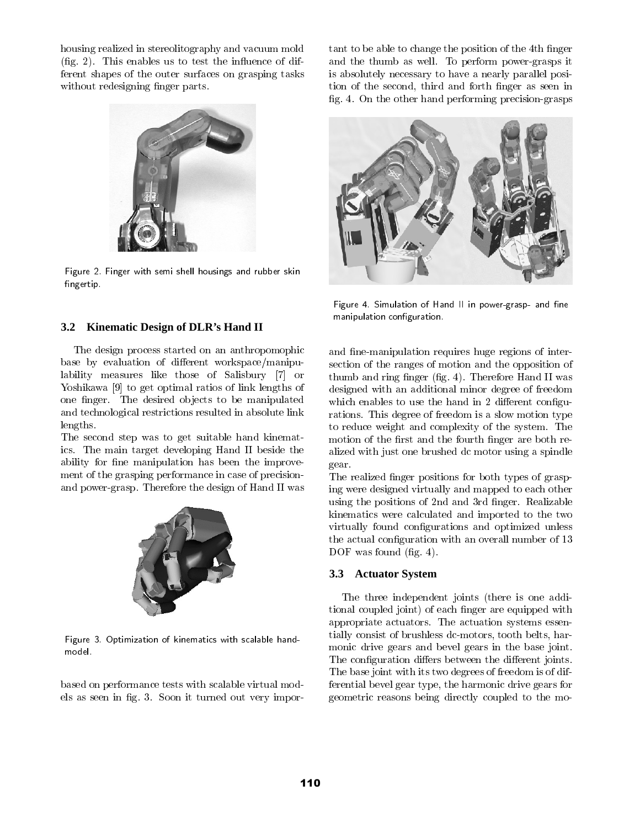housing realized in stereolitography and vacuum mold  $(fig. 2)$ . This enables us to test the influence of different shapes of the outer surfaces on grasping tasks without redesigning finger parts.



Figure 2. Finger with semi shell housings and rubber skinfingertip.

### **3.2 Kinematic Design of DLR's Hand II**

The design process started on an anthropomophic base by evaluation of different workspace/manipulability measures like those of Salisbury [7] or Yoshikawa [9] to get optimal ratios of link lengths of one finger. The desired objects to be manipulated and technological restrictions resulted in absolute link lengths.

The second step was to get suitable hand kinematics. The main target developing Hand II beside the ability for fine manipulation has been the improvement of the grasping performance in case of precisionand power-grasp. Therefore the design of Hand II was



Figure 3.Optimization of kinematics with scalable handmodel.

based on performance tests with scalable virtual models as seen in fig. 3. Soon it turned out very important to be able to change the position of the 4<sup>th</sup> finger and the thumb as well. To perform power-grasps it is absolutely necessary to have a nearly parallel position of the second, third and forth finger as seen in fig. 4. On the other hand performing precision-grasps



Figure 4. Simulation of Hand II in power-grasp- and ne manipulation configuration.

and fine-manipulation requires huge regions of intersection of the ranges of motion and the opposition of thumb and ring finger (fig. 4). Therefore Hand II was designed with an additional minor degree of freedom which enables to use the hand in 2 different configurations. This degree of freedom is a slow motion type to reduce weight and complexity of the system. The motion of the first and the fourth finger are both realized with just one brushed dc motor using a spindle gear.

The realized finger positions for both types of grasping were designed virtually and mapped to each other using the positions of 2nd and 3rd finger. Realizable kinematics were calculated and imported to the two virtually found configurations and optimized unless the actual configuration with an overall number of 13 DOF was found (fig. 4).

### **3.3 Actuator System**

The three independent joints (there is one additional coupled joint) of each finger are equipped with appropriate actuators. The actuation systems essentially consist of brushless dc-motors, tooth belts, harmonic drive gears and bevel gears in the base joint. The configuration differs between the different joints. The base joint with its two degrees of freedom is of differential bevel gear type, the harmonic drive gears for geometric reasons being directly coupled to the mo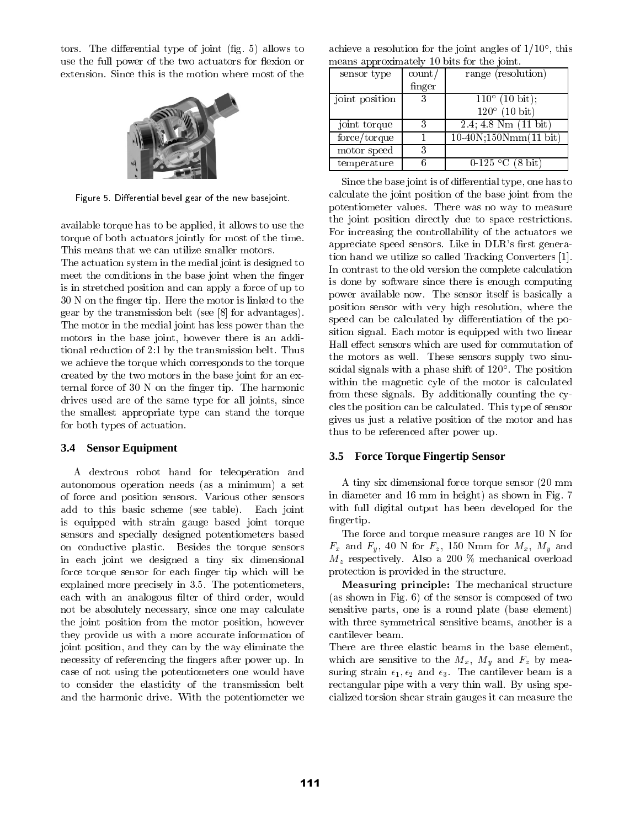tors. The differential type of joint (fig. 5) allows to use the full power of the two actuators for flexion or extension. Since this is the motion where most of the



Figure 5. Differential bevel gear of the new basejoint.

available torque has to be applied, it allows to use the torque of both actuators jointly for most of the time. This means that we can utilize smaller motors.

The actuation system in the medial joint is designed to meet the conditions in the base joint when the finger is in stretched position and can apply a force of up to 30 N on the finger tip. Here the motor is linked to the gear by the transmission belt (see [8] for advantages). The motor in the medial joint has less power than the motors in the base joint, however there is an additional reduction of 2:1 by the transmission belt. Thus we achieve the torque which corresponds to the torque created by the two motors in the base joint for an external force of 30 N on the finger tip. The harmonic drives used are of the same type for all joints, since the smallest appropriate type can stand the torque for both types of actuation.

### **3.4 Sensor Equipment**

A dextrous robot hand for teleoperation and autonomous operation needs (as a minimum) a set of force and position sensors. Various other sensors add to this basic scheme (see table). Each joint is equipped with strain gauge based joint torque sensors and specially designed potentiometers based on conductive plastic. Besides the torque sensors in each joint we designed a tiny six dimensional force torque sensor for each finger tip which will be explained more precisely in 3.5. The potentiometers, each with an analogous filter of third order, would not be absolutely necessary, since one may calculate the joint position from the motor position, however they provide us with a more accurate information of joint position, and they can by the way eliminate the necessity of referencing the fingers after power up. In case of not using the potentiometers one would have to consider the elasticity of the transmission belt and the harmonic drive. With the potentiometer we

achieve a resolution for the joint angles of 1/10 , this means approximately 10 bits for the joint

| писань арргохниассту то оны тог сис јонк. |                 |                         |  |
|-------------------------------------------|-----------------|-------------------------|--|
| sensor type                               | $\text{count}/$ | range (resolution)      |  |
|                                           | finger          |                         |  |
| joint position                            | 3               | $110^{\circ}$ (10 bit); |  |
|                                           |                 | $120^{\circ}$ (10 bit)  |  |
| joint torque                              | 3               | 2.4; 4.8 Nm (11 bit)    |  |
| force/torque                              |                 | $10-40N;150Nmm(11 bit)$ |  |
| motor speed                               | 3               |                         |  |
| temperature                               |                 | $0-125$ °C (8 bit)      |  |

Since the base joint is of differential type, one has to calculate the joint position of the base joint from the potentiometer values. There was no way to measure the joint position directly due to space restrictions. For increasing the controllability of the actuators we appreciate speed sensors. Like in DLR's first generation hand we utilize so called Tracking Converters [1]. In contrast to the old version the complete calculation is done by software since there is enough computing power available now. The sensor itself is basically a position sensor with very high resolution, where the speed can be calculated by differentiation of the position signal. Each motor is equipped with two linear Hall effect sensors which are used for commutation of the motors as well. These sensors supply two sinusoidal signals with a phase shift of 120 . The position within the magnetic cyle of the motor is calculated from these signals. By additionally counting the cycles the position can be calculated. This type of sensor gives us just a relative position of the motor and has thus to be referenced after power up.

#### **3.5 Force Torque Fingertip Sensor**

A tiny six dimensional force torque sensor (20 mm in diameter and 16 mm in height) as shown in Fig. 7 with full digital output has been developed for the fingertip.

The force and torque measure ranges are 10 N for  $F_x$  and  $F_y$ , 40 N for  $F_z$ , 150 Nmm for  $M_x$ ,  $M_y$  and  $M_z$  respectively. Also a 200 % mechanical overload protection is provided in the structure.

Measuring principle: The mechanical structure (as shown in Fig. 6) of the sensor is composed of two sensitive parts, one is a round plate (base element) with three symmetrical sensitive beams, another is a

There are three elastic beams in the base element, which are sensitive to the  $M_x$ ,  $M_y$  and  $F_z$  by measuring strain  $\epsilon_1, \epsilon_2$  and  $\epsilon_3$ . The cantilever beam is a rectangular pipe with a very thin wall. By using specialized torsion shear strain gauges it can measure the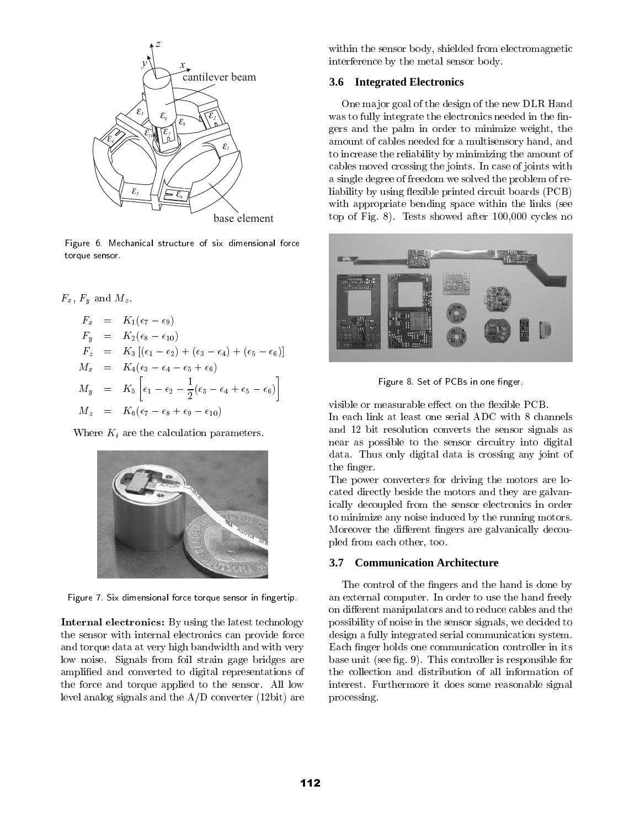

Figure 6. Mechanical structure of six dimensional force torque sensor.

$$
F_x = K_1(\epsilon_7 - \epsilon_9)
$$
  
\n
$$
F_y = K_2(\epsilon_8 - \epsilon_{10})
$$
  
\n
$$
F_z = K_3 [(\epsilon_1 - \epsilon_2) + (\epsilon_3 - \epsilon_4) + (\epsilon_5 - \epsilon_6)]
$$
  
\n
$$
M_x = K_4(\epsilon_3 - \epsilon_4 - \epsilon_5 + \epsilon_6)
$$
  
\n
$$
M_y = K_5 \left[ \epsilon_1 - \epsilon_2 - \frac{1}{2} (\epsilon_3 - \epsilon_4 + \epsilon_5 - \epsilon_6) \right]
$$
  
\n
$$
M_z = K_6(\epsilon_7 - \epsilon_8 + \epsilon_9 - \epsilon_{10})
$$

Where  $K_i$  are the calculation parameters.



Figure 7. Six dimensional force torque sensor in fingertip.

Internal electronics: By using the latest technology the sensor with internal electronics can provide force and torque data at very high bandwidth and with very low noise. Signals from foil strain gage bridges are amplied and converted to digital representations of the force and torque applied to the sensor. All low level analog signals and the A/D converter (12bit) are within the sensor body, shielded from electromagnetic interference by the metal sensor body.

#### **3.6 Integrated Electronics**

One ma jor goal of the design of the new DLR Hand was to fully integrate the electronics needed in the fingers and the palm in order to minimize weight, the amount of cables needed for a multisensory hand, and to increase the reliability by minimizing the amount of cables moved crossing the joints. In case of joints with a single degree of freedom we solved the problem of reliability by using flexible printed circuit boards (PCB) with appropriate bending space within the links (see top of Fig. 8). Tests showed after 100,000 cycles no





visible or measurable effect on the flexible PCB. In each link at least one serial ADC with 8 channels and 12 bit resolution converts the sensor signals as near as possible to the sensor circuitry into digital data. Thus only digital data is crossing any joint of the finger.

The power converters for driving the motors are located directly beside the motors and they are galvanically decoupled from the sensor electronics in order to minimize any noise induced by the running motors. Moreover the different fingers are galvanically decoupled from each other, too.

#### **3.7 Communication Architecture**

The control of the fingers and the hand is done by an external computer. In order to use the hand freely on different manipulators and to reduce cables and the possibility of noise in the sensor signals, we decided to design a fully integrated serial communication system. Each finger holds one communication controller in its base unit (see fig. 9). This controller is responsible for the collection and distribution of all information of interest. Furthermore it does some reasonable signal processing.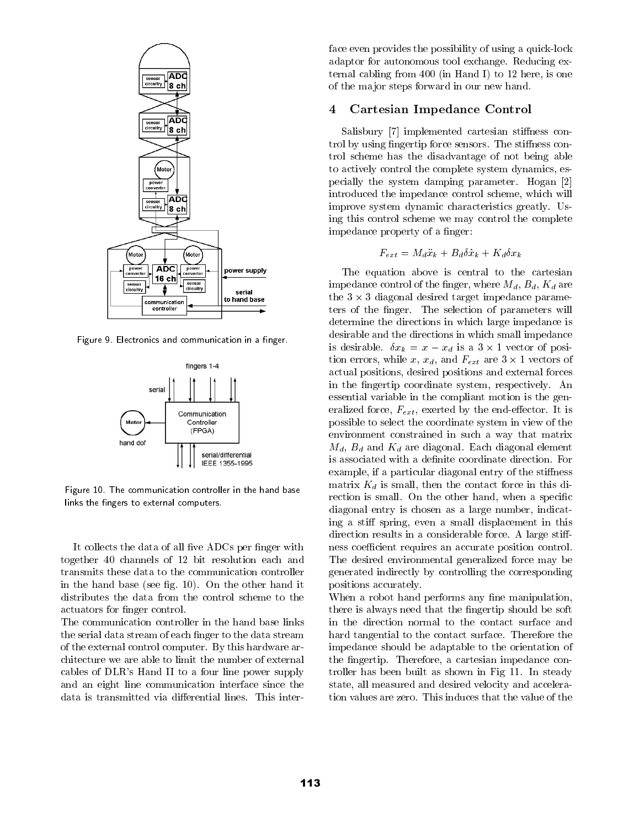

Figure 9. Electronics and communication in a finger.



Figure 10. The communication controller in the hand baselinks the fingers to external computers.

It collects the data of all five ADCs per finger with together 40 channels of 12 bit resolution each and transmits these data to the communication controller in the hand base (see fig. 10). On the other hand it distributes the data from the control scheme to the actuators for finger control.

The communication controller in the hand base links the serial data stream of each finger to the data stream of the external control computer. By this hardware architecture we are able to limit the number of external cables of DLR's Hand II to a four line power supply and an eight line communication interface since the data is transmitted via differential lines. This interface even provides the possibility of using a quick-lock adaptor for autonomous tool exchange. Reducing external cabling from 400 (in Hand I) to 12 here, is one of the ma jor steps forward in our new hand.

#### 4Cartesian Impedance Control

Salisbury [7] implemented cartesian stiffness control by using fingertip force sensors. The stiffness control scheme has the disadvantage of not being able to actively control the complete system dynamics, especially the system damping parameter. Hogan [2] introduced the impedance control scheme, which will improve system dynamic characteristics greatly. Using this control scheme we may control the complete impedance property of a finger:

$$
F_{ext} = M_d \ddot{x}_k + B_d \delta \dot{x}_k + K_d \delta x_k
$$

 rection is small. On the other hand, when a specic The equation above is central to the cartesian impedance control of the finger, where  $M_d$ ,  $B_d$ ,  $K_d$  are the 3 - 3 diagonal desired target impedance parameters of the finger. The selection of parameters will determine the directions in which large impedance is desirable and the directions in which small impedance is desirable.  $\alpha$  is a  $\alpha$  is a  $\alpha$  is a 3 -  $\alpha$  -  $\alpha$  -  $\alpha$  -  $\alpha$  -  $\alpha$ tion errors, while x,xd, and Fext are 3 - 1 vectors of actual positions, desired positions and external forces in the fingertip coordinate system, respectively. An essential variable in the compliant motion is the generalized force,  $F_{ext}$ , exerted by the end-effector. It is possible to select the coordinate system in view of the environment constrained in such a way that matrix  $M_d$ ,  $B_d$  and  $K_d$  are diagonal. Each diagonal element is associated with a definite coordinate direction. For example, if a particular diagonal entry of the stiffness matrix  $K_d$  is small, then the contact force in this didiagonal entry is chosen as a large number, indicating a stiff spring, even a small displacement in this direction results in a considerable force. A large stiffness coefficient requires an accurate position control. The desired environmental generalized force may be generated indirectly by controlling the corresponding positions accurately.

When a robot hand performs any fine manipulation, there is always need that the fingertip should be soft in the direction normal to the contact surface and hard tangential to the contact surface. Therefore the impedance should be adaptable to the orientation of the fingertip. Therefore, a cartesian impedance controller has been built as shown in Fig 11. In steady state, all measured and desired velocity and acceleration values are zero. This induces that the value of the